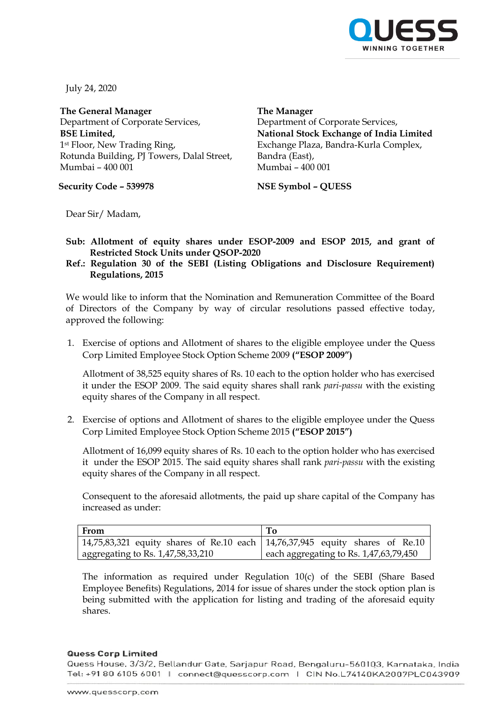

July 24, 2020

**The General Manager** Department of Corporate Services, **BSE Limited,** 1st Floor, New Trading Ring, Rotunda Building, PJ Towers, Dalal Street, Mumbai – 400 001

**Security Code – 539978 NSE Symbol – QUESS**

**The Manager** Department of Corporate Services, **National Stock Exchange of India Limited** Exchange Plaza, Bandra-Kurla Complex, Bandra (East), Mumbai – 400 001

Dear Sir/ Madam,

- **Sub: Allotment of equity shares under ESOP-2009 and ESOP 2015, and grant of Restricted Stock Units under QSOP-2020**
- **Ref.: Regulation 30 of the SEBI (Listing Obligations and Disclosure Requirement) Regulations, 2015**

We would like to inform that the Nomination and Remuneration Committee of the Board of Directors of the Company by way of circular resolutions passed effective today, approved the following:

1. Exercise of options and Allotment of shares to the eligible employee under the Quess Corp Limited Employee Stock Option Scheme 2009 **("ESOP 2009")**

Allotment of 38,525 equity shares of Rs. 10 each to the option holder who has exercised it under the ESOP 2009. The said equity shares shall rank *pari-passu* with the existing equity shares of the Company in all respect.

2. Exercise of options and Allotment of shares to the eligible employee under the Quess Corp Limited Employee Stock Option Scheme 2015 **("ESOP 2015")**

Allotment of 16,099 equity shares of Rs. 10 each to the option holder who has exercised it under the ESOP 2015. The said equity shares shall rank *pari-passu* with the existing equity shares of the Company in all respect.

Consequent to the aforesaid allotments, the paid up share capital of the Company has increased as under:

| From                                                                           |                                          |
|--------------------------------------------------------------------------------|------------------------------------------|
| 14,75,83,321 equity shares of Re.10 each   14,76,37,945 equity shares of Re.10 |                                          |
| aggregating to Rs. 1,47,58,33,210                                              | l each aggregating to Rs. 1,47,63,79,450 |

The information as required under Regulation 10(c) of the SEBI (Share Based Employee Benefits) Regulations, 2014 for issue of shares under the stock option plan is being submitted with the application for listing and trading of the aforesaid equity shares.

## **Quess Corp Limited**

Quess House, 3/3/2, Bellandur Gate, Sarjapur Road, Bengaluru-560103, Karnataka, India Tel: +91 80 6105 6001 | connect@quesscorp.com | CIN No.L74140KA2007PLC043909